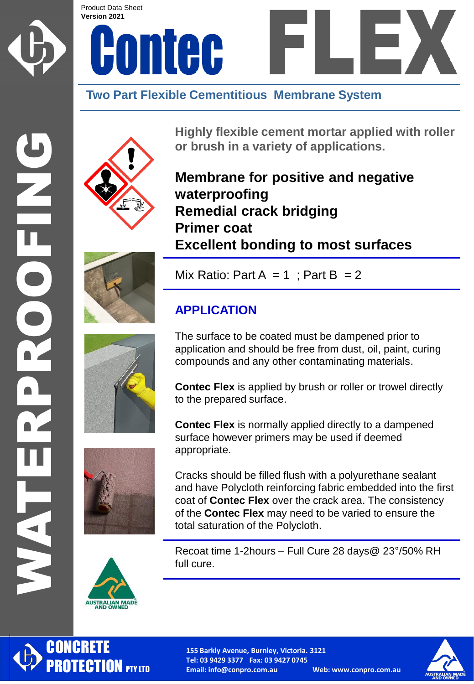

DODED



## **Two Part Flexible Cementitious Membrane System**



**Highly flexible cement mortar applied with roller or brush in a variety of applications.**

**Membrane for positive and negative waterproofing Remedial crack bridging Primer coat Excellent bonding to most surfaces**



Mix Ratio: Part A = 1 ; Part B = 2

### **APPLICATION**

The surface to be coated must be dampened prior to application and should be free from dust, oil, paint, curing compounds and any other contaminating materials.

**Contec Flex** is applied by brush or roller or trowel directly to the prepared surface.

**Contec Flex** is normally applied directly to a dampened surface however primers may be used if deemed appropriate.

Cracks should be filled flush with a polyurethane sealant and have Polycloth reinforcing fabric embedded into the first coat of **Contec Flex** over the crack area. The consistency of the **Contec Flex** may need to be varied to ensure the total saturation of the Polycloth.

Recoat time 1-2hours – Full Cure 28 days@ 23°/50% RH full cure.





**CONCRETE** 

PROTECTION **PTY LTD** 

**155 Barkly Avenue, Burnley, Victoria. 3121 Tel: 03 9429 3377 Fax: 03 9427 0745 Email: info@conpro.com.au Web: www.conpro.com.au**